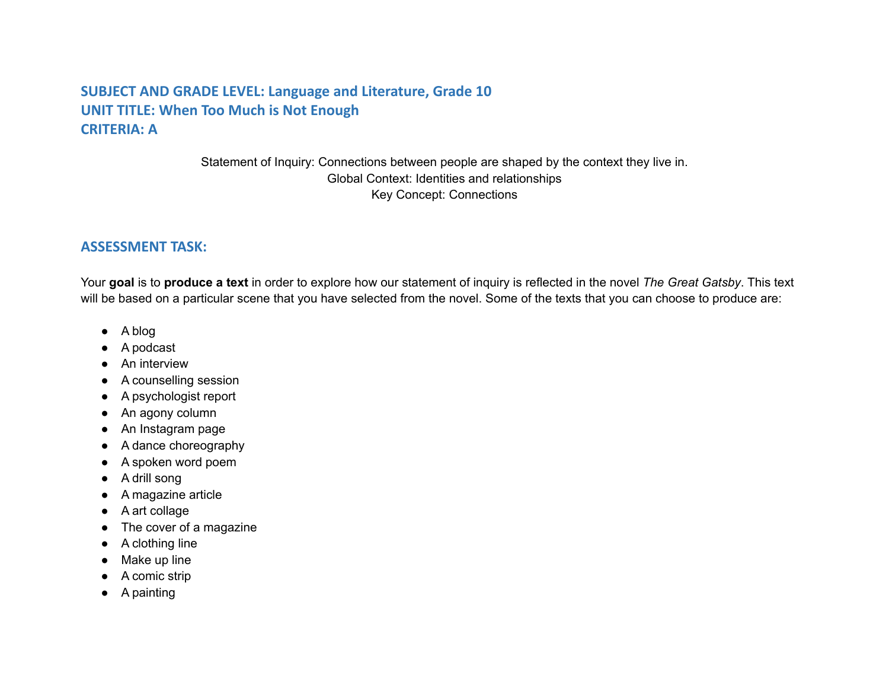# **SUBJECT AND GRADE LEVEL: Language and Literature, Grade 10 UNIT TITLE: When Too Much is Not Enough CRITERIA: A**

Statement of Inquiry: Connections between people are shaped by the context they live in. Global Context: Identities and relationships Key Concept: Connections

#### **ASSESSMENT TASK:**

Your **goal** is to **produce a text** in order to explore how our statement of inquiry is reflected in the novel *The Great Gatsby*. This text will be based on a particular scene that you have selected from the novel. Some of the texts that you can choose to produce are:

- A blog
- A podcast
- An interview
- A counselling session
- A psychologist report
- An agony column
- An Instagram page
- A dance choreography
- A spoken word poem
- A drill song
- A magazine article
- A art collage
- The cover of a magazine
- A clothing line
- Make up line
- A comic strip
- A painting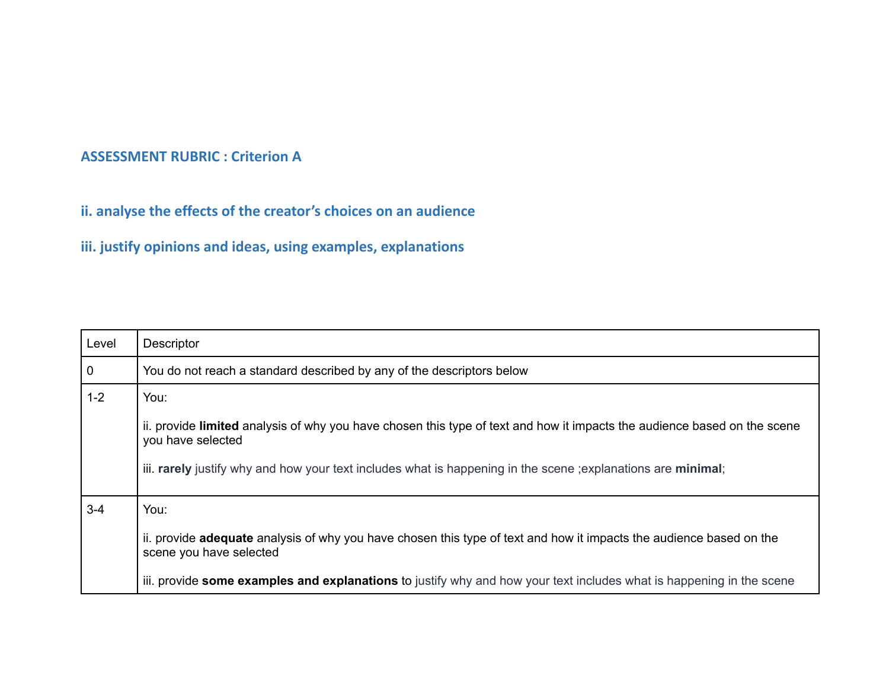## **ASSESSMENT RUBRIC : Criterion A**

**ii. analyse the effects of the creator's choices on an audience**

**iii. justify opinions and ideas, using examples, explanations**

| Level          | <b>Descriptor</b>                                                                                                                                     |
|----------------|-------------------------------------------------------------------------------------------------------------------------------------------------------|
| $\overline{0}$ | You do not reach a standard described by any of the descriptors below                                                                                 |
| $1 - 2$        | You:                                                                                                                                                  |
|                | ii. provide limited analysis of why you have chosen this type of text and how it impacts the audience based on the scene<br>you have selected         |
|                | iii. rarely justify why and how your text includes what is happening in the scene ; explanations are minimal;                                         |
| $3 - 4$        | You:                                                                                                                                                  |
|                | ii. provide <b>adequate</b> analysis of why you have chosen this type of text and how it impacts the audience based on the<br>scene you have selected |
|                | iii. provide some examples and explanations to justify why and how your text includes what is happening in the scene                                  |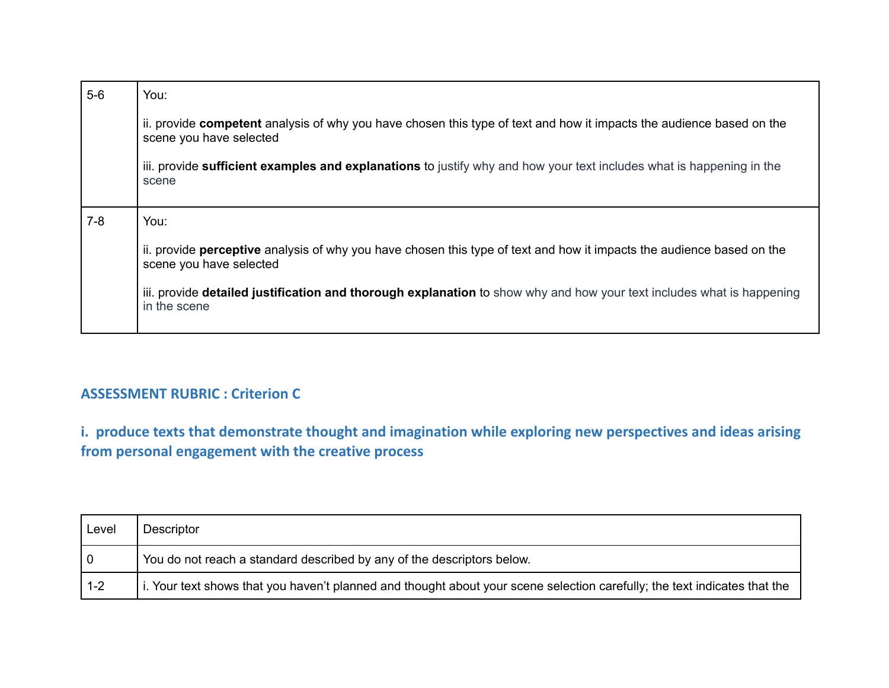| $5-6$ | You:                                                                                                                                                    |
|-------|---------------------------------------------------------------------------------------------------------------------------------------------------------|
|       | ii. provide competent analysis of why you have chosen this type of text and how it impacts the audience based on the<br>scene you have selected         |
|       | iii. provide sufficient examples and explanations to justify why and how your text includes what is happening in the<br>scene                           |
| $7-8$ | You:                                                                                                                                                    |
|       | ii. provide <b>perceptive</b> analysis of why you have chosen this type of text and how it impacts the audience based on the<br>scene you have selected |
|       | iii. provide detailed justification and thorough explanation to show why and how your text includes what is happening<br>in the scene                   |

# **ASSESSMENT RUBRIC : Criterion C**

**i. produce texts that demonstrate thought and imagination while exploring new perspectives and ideas arising from personal engagement with the creative process**

| Level   | Descriptor                                                                                                                |
|---------|---------------------------------------------------------------------------------------------------------------------------|
| l 0     | You do not reach a standard described by any of the descriptors below.                                                    |
| $1 - 2$ | i. Your text shows that you haven't planned and thought about your scene selection carefully; the text indicates that the |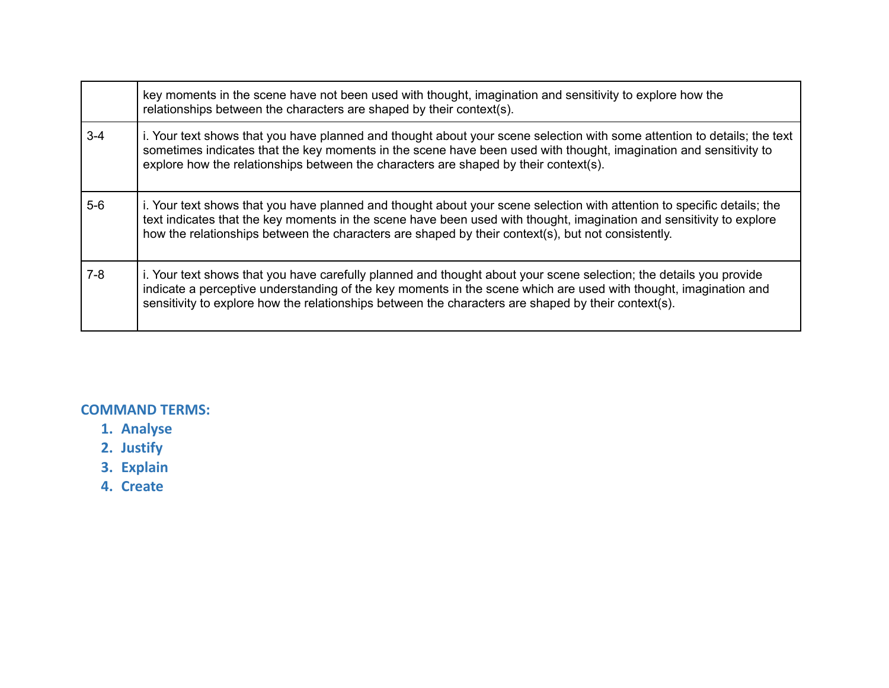|         | key moments in the scene have not been used with thought, imagination and sensitivity to explore how the<br>relationships between the characters are shaped by their context(s).                                                                                                                                                                      |
|---------|-------------------------------------------------------------------------------------------------------------------------------------------------------------------------------------------------------------------------------------------------------------------------------------------------------------------------------------------------------|
| $3 - 4$ | i. Your text shows that you have planned and thought about your scene selection with some attention to details; the text<br>sometimes indicates that the key moments in the scene have been used with thought, imagination and sensitivity to<br>explore how the relationships between the characters are shaped by their context(s).                 |
| $5-6$   | i. Your text shows that you have planned and thought about your scene selection with attention to specific details; the<br>text indicates that the key moments in the scene have been used with thought, imagination and sensitivity to explore<br>how the relationships between the characters are shaped by their context(s), but not consistently. |
| $7-8$   | i. Your text shows that you have carefully planned and thought about your scene selection; the details you provide<br>indicate a perceptive understanding of the key moments in the scene which are used with thought, imagination and<br>sensitivity to explore how the relationships between the characters are shaped by their context(s).         |

### **COMMAND TERMS:**

- **1. Analyse**
- **2. Justify**
- **3. Explain**
- **4. Create**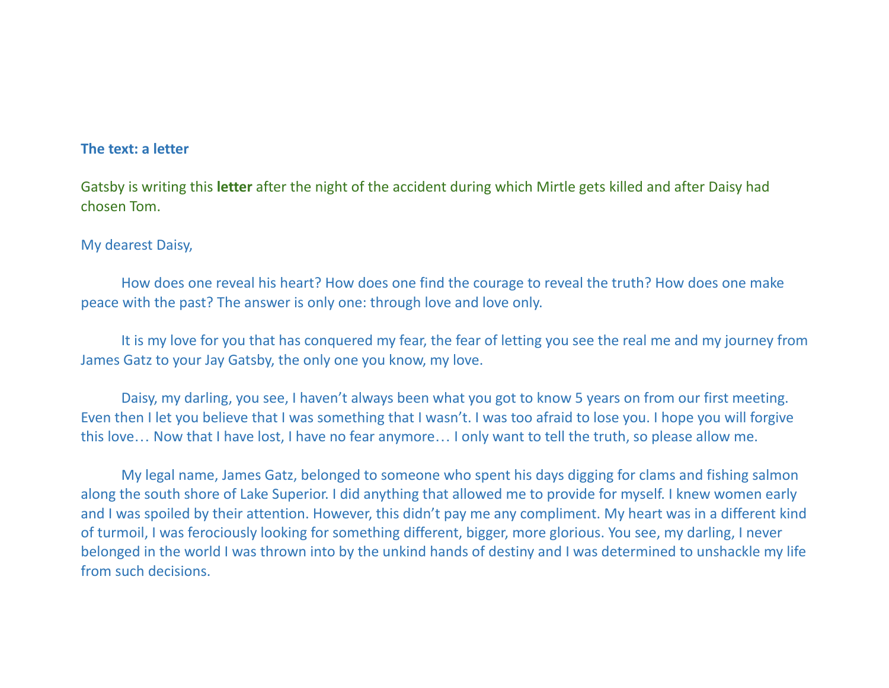### **The text: a letter**

Gatsby is writing this **letter** after the night of the accident during which Mirtle gets killed and after Daisy had chosen Tom.

### My dearest Daisy,

How does one reveal his heart? How does one find the courage to reveal the truth? How does one make peace with the past? The answer is only one: through love and love only.

It is my love for you that has conquered my fear, the fear of letting you see the real me and my journey from James Gatz to your Jay Gatsby, the only one you know, my love.

Daisy, my darling, you see, I haven't always been what you got to know 5 years on from our first meeting. Even then I let you believe that I was something that I wasn't. I was too afraid to lose you. I hope you will forgive this love… Now that I have lost, I have no fear anymore… I only want to tell the truth, so please allow me.

My legal name, James Gatz, belonged to someone who spent his days digging for clams and fishing salmon along the south shore of Lake Superior. I did anything that allowed me to provide for myself. I knew women early and I was spoiled by their attention. However, this didn't pay me any compliment. My heart was in a different kind of turmoil, I was ferociously looking for something different, bigger, more glorious. You see, my darling, I never belonged in the world I was thrown into by the unkind hands of destiny and I was determined to unshackle my life from such decisions.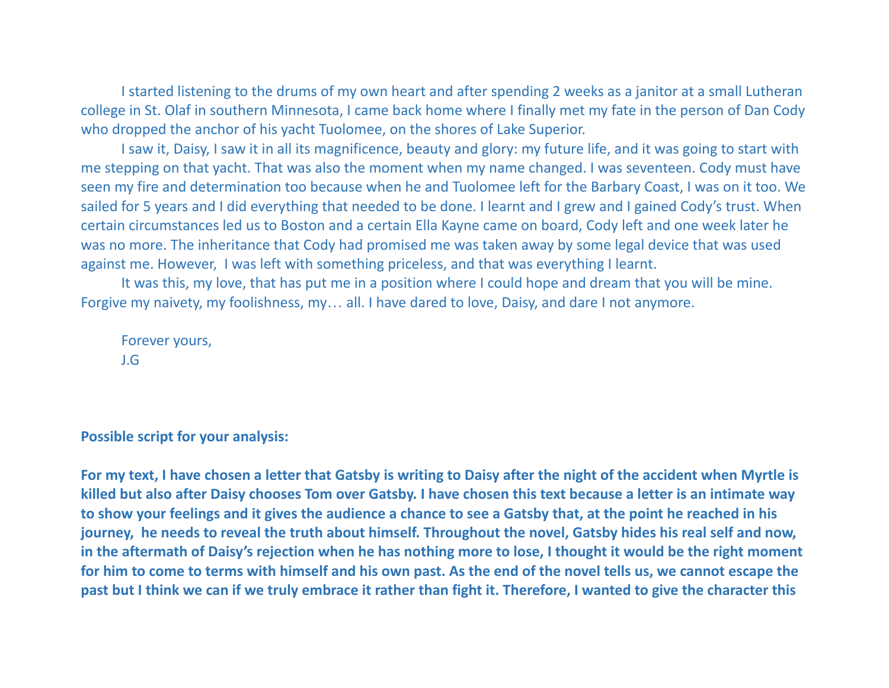I started listening to the drums of my own heart and after spending 2 weeks as a janitor at a small Lutheran college in St. Olaf in southern Minnesota, I came back home where I finally met my fate in the person of Dan Cody who dropped the anchor of his yacht Tuolomee, on the shores of Lake Superior.

I saw it, Daisy, I saw it in all its magnificence, beauty and glory: my future life, and it was going to start with me stepping on that yacht. That was also the moment when my name changed. I was seventeen. Cody must have seen my fire and determination too because when he and Tuolomee left for the Barbary Coast, I was on it too. We sailed for 5 years and I did everything that needed to be done. I learnt and I grew and I gained Cody's trust. When certain circumstances led us to Boston and a certain Ella Kayne came on board, Cody left and one week later he was no more. The inheritance that Cody had promised me was taken away by some legal device that was used against me. However, I was left with something priceless, and that was everything I learnt.

It was this, my love, that has put me in a position where I could hope and dream that you will be mine. Forgive my naivety, my foolishness, my… all. I have dared to love, Daisy, and dare I not anymore.

Forever yours, J.G

**Possible script for your analysis:**

For my text, I have chosen a letter that Gatsby is writing to Daisy after the night of the accident when Myrtle is killed but also after Daisy chooses Tom over Gatsby. I have chosen this text because a letter is an intimate way to show your feelings and it gives the audience a chance to see a Gatsby that, at the point he reached in his journey, he needs to reveal the truth about himself. Throughout the novel, Gatsby hides his real self and now, in the aftermath of Daisy's rejection when he has nothing more to lose, I thought it would be the right moment for him to come to terms with himself and his own past. As the end of the novel tells us, we cannot escape the past but I think we can if we truly embrace it rather than fight it. Therefore, I wanted to give the character this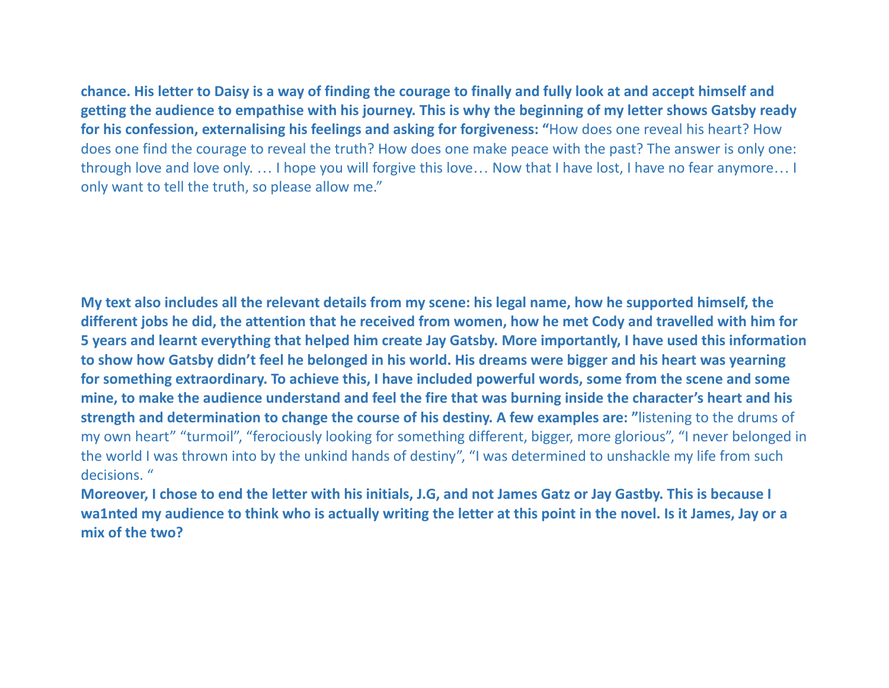chance. His letter to Daisy is a way of finding the courage to finally and fully look at and accept himself and getting the audience to empathise with his journey. This is why the beginning of my letter shows Gatsby ready **for his confession, externalising his feelings and asking for forgiveness: "**How does one reveal his heart? How does one find the courage to reveal the truth? How does one make peace with the past? The answer is only one: through love and love only. … I hope you will forgive this love… Now that I have lost, I have no fear anymore… I only want to tell the truth, so please allow me."

My text also includes all the relevant details from my scene: his legal name, how he supported himself, the different jobs he did, the attention that he received from women, how he met Cody and travelled with him for 5 years and learnt everything that helped him create Jay Gatsby. More importantly, I have used this information to show how Gatsby didn't feel he belonged in his world. His dreams were bigger and his heart was yearning for something extraordinary. To achieve this, I have included powerful words, some from the scene and some mine, to make the audience understand and feel the fire that was burning inside the character's heart and his **strength and determination to change the course of his destiny. A few examples are: "**listening to the drums of my own heart" "turmoil", "ferociously looking for something different, bigger, more glorious", "I never belonged in the world I was thrown into by the unkind hands of destiny", "I was determined to unshackle my life from such decisions. "

Moreover, I chose to end the letter with his initials, J.G, and not James Gatz or Jay Gastby. This is because I wa1nted my audience to think who is actually writing the letter at this point in the novel. Is it James, Jay or a **mix of the two?**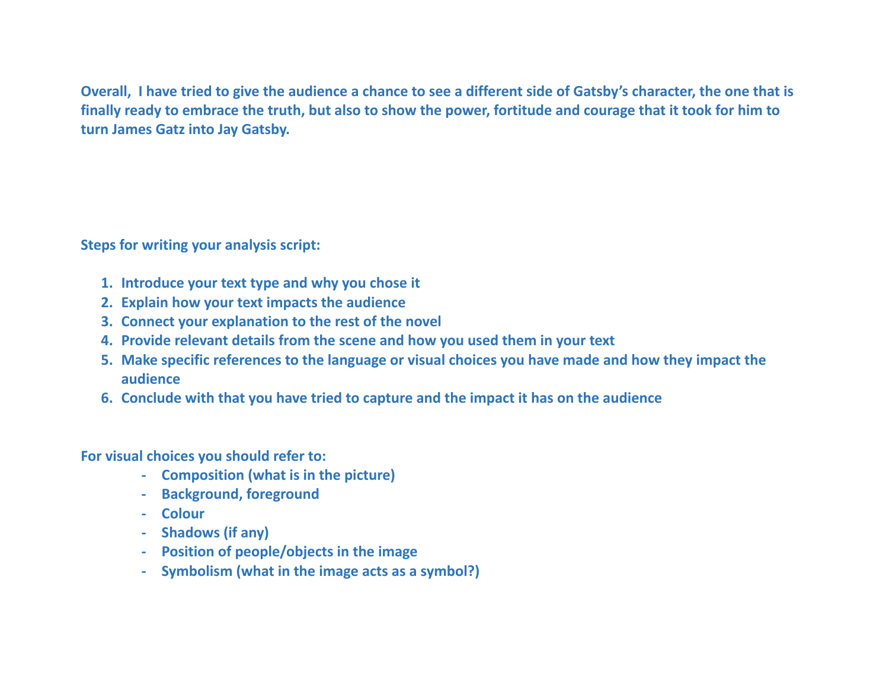Overall, I have tried to give the audience a chance to see a different side of Gatsby's character, the one that is finally ready to embrace the truth, but also to show the power, fortitude and courage that it took for him to **turn James Gatz into Jay Gatsby.**

**Steps for writing your analysis script:**

- **1. Introduce your text type and why you chose it**
- **2. Explain how your text impacts the audience**
- **3. Connect your explanation to the rest of the novel**
- **4. Provide relevant details from the scene and how you used them in your text**
- 5. Make specific references to the language or visual choices you have made and how they impact the **audience**
- **6. Conclude with that you have tried to capture and the impact it has on the audience**

**For visual choices you should refer to:**

- **- Composition (what is in the picture)**
- **- Background, foreground**
- **- Colour**
- **- Shadows (if any)**
- **- Position of people/objects in the image**
- **- Symbolism (what in the image acts as a symbol?)**